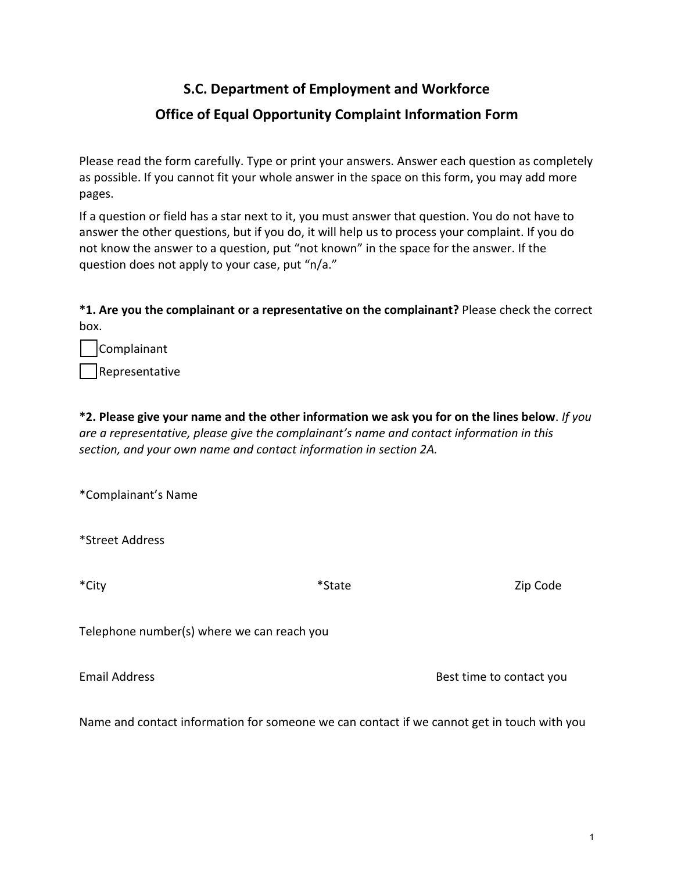# **S.C. Department of Employment and Workforce Office of Equal Opportunity Complaint Information Form**

Please read the form carefully. Type or print your answers. Answer each question as completely as possible. If you cannot fit your whole answer in the space on this form, you may add more pages.

If a question or field has a star next to it, you must answer that question. You do not have to answer the other questions, but if you do, it will help us to process your complaint. If you do not know the answer to a question, put "not known" in the space for the answer. If the question does not apply to your case, put "n/a."

**\*1. Are you the complainant or a representative on the complainant?** Please check the correct box.

| Complainant |
|-------------|
|             |

Representative

**\*2. Please give your name and the other information we ask you for on the lines below**. *If you are a representative, please give the complainant's name and contact information in this section, and your own name and contact information in section 2A.*

\*Complainant's Name

\*Street Address

\*City \* and \*State \* State \* All the Library \* State All the Library of Table 2ip Code

Telephone number(s) where we can reach you

Email Address **Best time to contact you** 

Name and contact information for someone we can contact if we cannot get in touch with you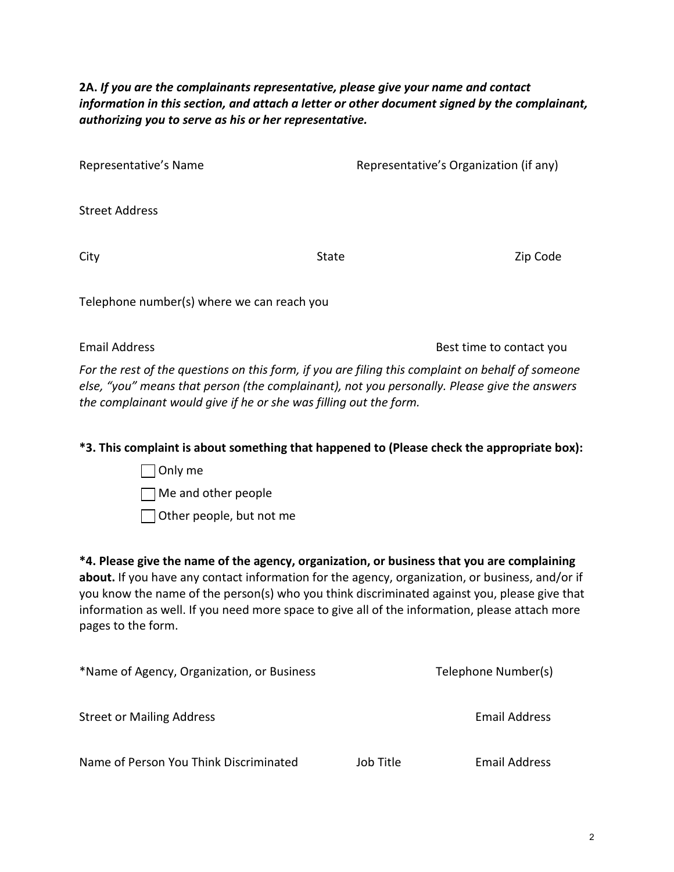**2A.** *If you are the complainants representative, please give your name and contact information in this section, and attach a letter or other document signed by the complainant, authorizing you to serve as his or her representative.*

| Representative's Name | Representative's Organization (if any) |
|-----------------------|----------------------------------------|
| Street Address        |                                        |

City Code City State State City State State State State State State State State State State State State State State State State State State State State State State State State State State State State State State State Stat

Telephone number(s) where we can reach you

Email Address **Best time to contact you** 

*For the rest of the questions on this form, if you are filing this complaint on behalf of someone else, "you" means that person (the complainant), not you personally. Please give the answers the complainant would give if he or she was filling out the form.* 

## **\*3. This complaint is about something that happened to (Please check the appropriate box):**

 $\Box$  Only me Me and other people Other people, but not me

**\*4. Please give the name of the agency, organization, or business that you are complaining about.** If you have any contact information for the agency, organization, or business, and/or if you know the name of the person(s) who you think discriminated against you, please give that information as well. If you need more space to give all of the information, please attach more pages to the form.

| *Name of Agency, Organization, or Business |           | Telephone Number(s) |
|--------------------------------------------|-----------|---------------------|
| <b>Street or Mailing Address</b>           |           | Email Address       |
| Name of Person You Think Discriminated     | Job Title | Email Address       |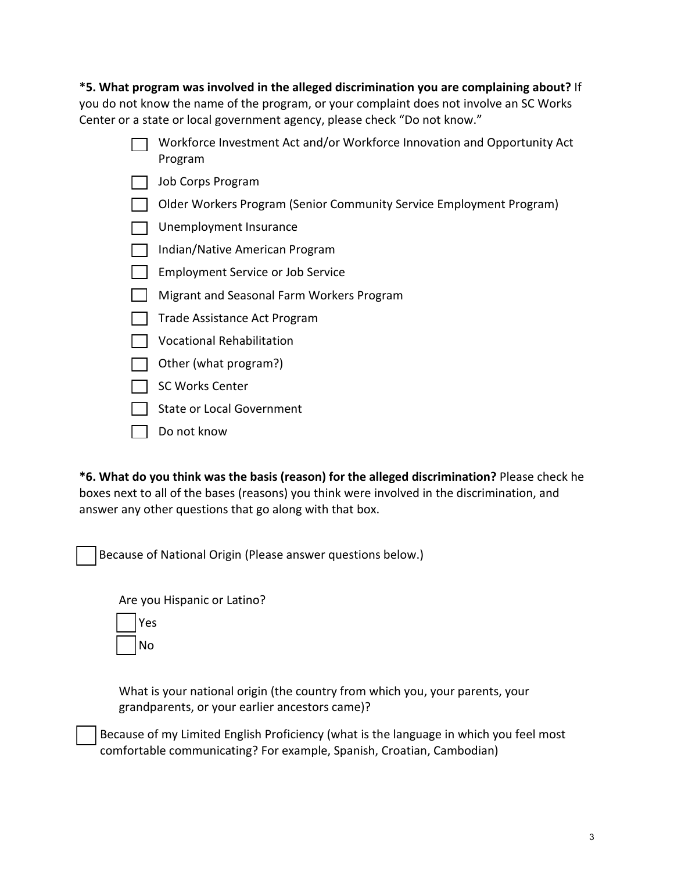**\*5. What program was involved in the alleged discrimination you are complaining about?** If you do not know the name of the program, or your complaint does not involve an SC Works Center or a state or local government agency, please check "Do not know."

- Workforce Investment Act and/or Workforce Innovation and Opportunity Act Program
- **Job Corps Program**
- Older Workers Program (Senior Community Service Employment Program)
- Unemployment Insurance
- Indian/Native American Program
- **Employment Service or Job Service**
- Migrant and Seasonal Farm Workers Program
- Trade Assistance Act Program
- Vocational Rehabilitation
- Other (what program?)
- SC Works Center
- State or Local Government
- Do not know

**\*6. What do you think was the basis (reason) for the alleged discrimination?** Please check he boxes next to all of the bases (reasons) you think were involved in the discrimination, and answer any other questions that go along with that box.

Because of National Origin (Please answer questions below.)

Are you Hispanic or Latino? Yes



What is your national origin (the country from which you, your parents, your grandparents, or your earlier ancestors came)?

Because of my Limited English Proficiency (what is the language in which you feel most comfortable communicating? For example, Spanish, Croatian, Cambodian)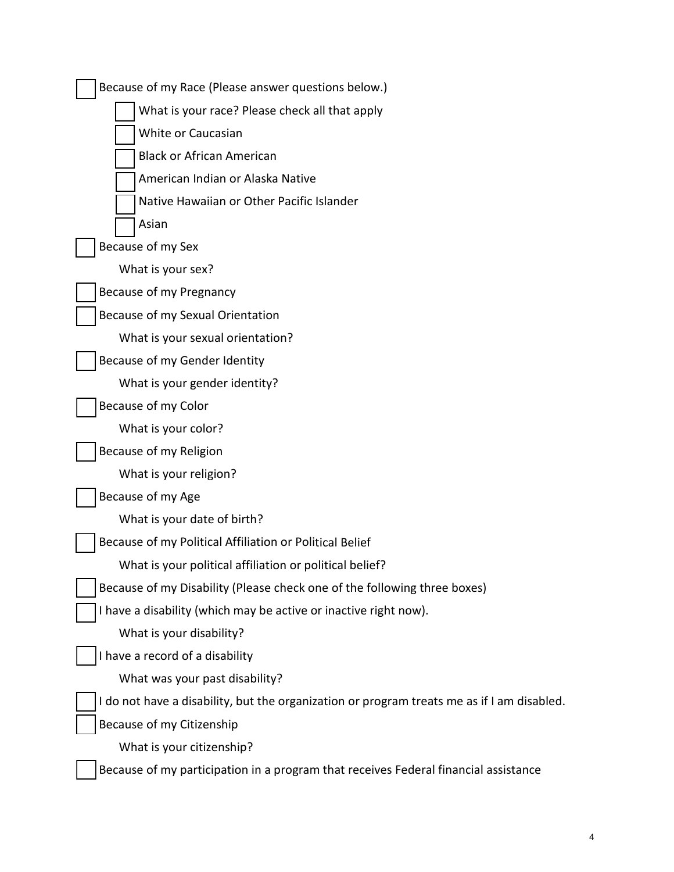| Because of my Race (Please answer questions below.)                                        |
|--------------------------------------------------------------------------------------------|
| What is your race? Please check all that apply                                             |
| White or Caucasian                                                                         |
| <b>Black or African American</b>                                                           |
| American Indian or Alaska Native                                                           |
| Native Hawaiian or Other Pacific Islander                                                  |
| Asian                                                                                      |
| Because of my Sex                                                                          |
| What is your sex?                                                                          |
| Because of my Pregnancy                                                                    |
| Because of my Sexual Orientation                                                           |
| What is your sexual orientation?                                                           |
| Because of my Gender Identity                                                              |
| What is your gender identity?                                                              |
| Because of my Color                                                                        |
| What is your color?                                                                        |
| Because of my Religion                                                                     |
| What is your religion?                                                                     |
| Because of my Age                                                                          |
| What is your date of birth?                                                                |
| Because of my Political Affiliation or Political Belief                                    |
| What is your political affiliation or political belief?                                    |
| Because of my Disability (Please check one of the following three boxes)                   |
| I have a disability (which may be active or inactive right now).                           |
| What is your disability?                                                                   |
| I have a record of a disability                                                            |
| What was your past disability?                                                             |
| I do not have a disability, but the organization or program treats me as if I am disabled. |
| Because of my Citizenship                                                                  |
| What is your citizenship?                                                                  |
| Because of my participation in a program that receives Federal financial assistance        |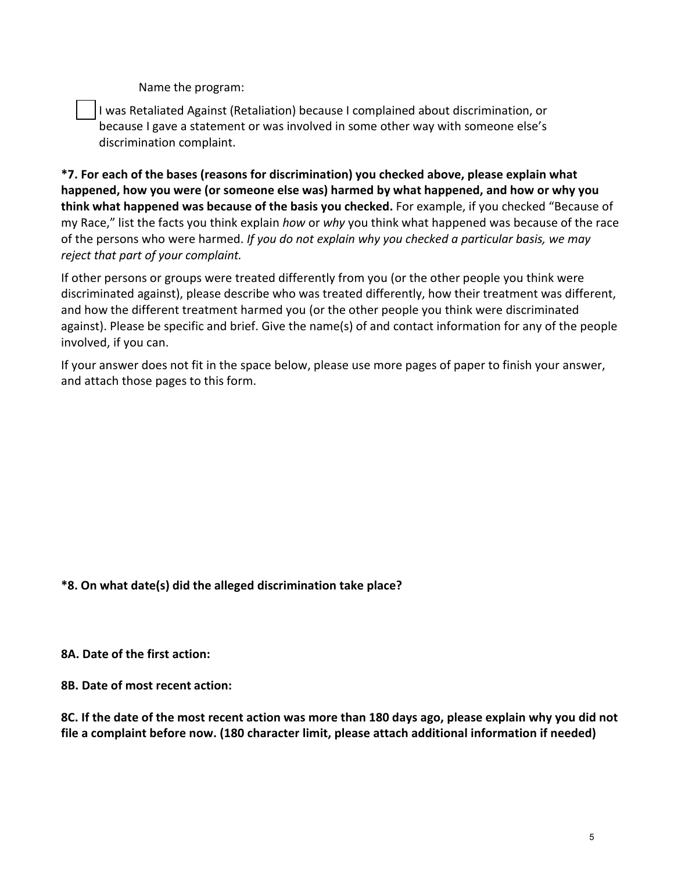Name the program:

I was Retaliated Against (Retaliation) because I complained about discrimination, or because I gave a statement or was involved in some other way with someone else's discrimination complaint.

**\*7. For each of the bases (reasons for discrimination) you checked above, please explain what happened, how you were (or someone else was) harmed by what happened, and how or why you think what happened was because of the basis you checked.** For example, if you checked "Because of my Race," list the facts you think explain *how* or *why* you think what happened was because of the race of the persons who were harmed. *If you do not explain why you checked a particular basis, we may reject that part of your complaint.*

If other persons or groups were treated differently from you (or the other people you think were discriminated against), please describe who was treated differently, how their treatment was different, and how the different treatment harmed you (or the other people you think were discriminated against). Please be specific and brief. Give the name(s) of and contact information for any of the people involved, if you can.

If your answer does not fit in the space below, please use more pages of paper to finish your answer, and attach those pages to this form.

**\*8. On what date(s) did the alleged discrimination take place?**

**8A. Date of the first action:** 

**8B. Date of most recent action:** 

**8C. If the date of the most recent action was more than 180 days ago, please explain why you did not file a complaint before now. (180 character limit, please attach additional information if needed)**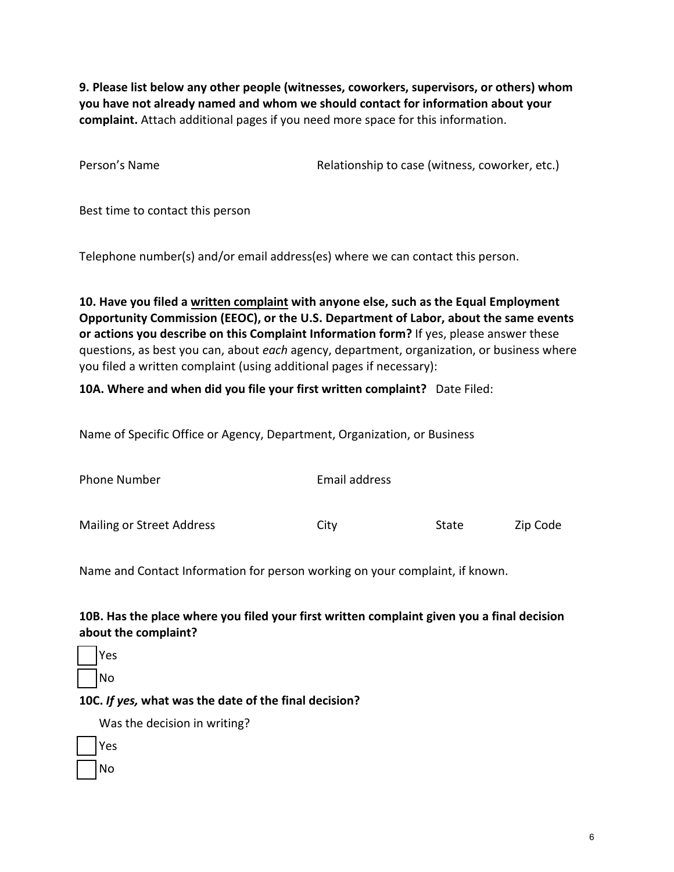**9. Please list below any other people (witnesses, coworkers, supervisors, or others) whom you have not already named and whom we should contact for information about your complaint.** Attach additional pages if you need more space for this information.

Person's Name The Relationship to case (witness, coworker, etc.)

Best time to contact this person

Telephone number(s) and/or email address(es) where we can contact this person.

**10. Have you filed a written complaint with anyone else, such as the Equal Employment Opportunity Commission (EEOC), or the U.S. Department of Labor, about the same events or actions you describe on this Complaint Information form?** If yes, please answer these questions, as best you can, about *each* agency, department, organization, or business where you filed a written complaint (using additional pages if necessary):

#### **10A. Where and when did you file your first written complaint?** Date Filed:

Name of Specific Office or Agency, Department, Organization, or Business

| Phone Number              | Email address |       |          |
|---------------------------|---------------|-------|----------|
| Mailing or Street Address | City          | State | Zip Code |

Name and Contact Information for person working on your complaint, if known.

## **10B. Has the place where you filed your first written complaint given you a final decision about the complaint?**

Yes No

#### **10C.** *If yes,* **what was the date of the final decision?**

Was the decision in writing?

| Yes |
|-----|
| No  |